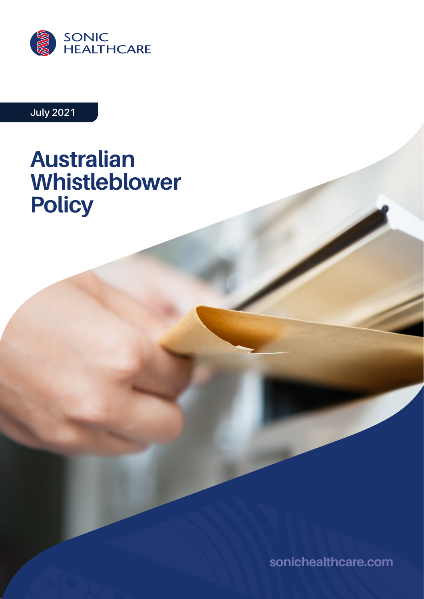

## **July 2021**

# **Australian Whistleblower Policy**

**[sonichealthcare.com](http://sonichealthcare.com)**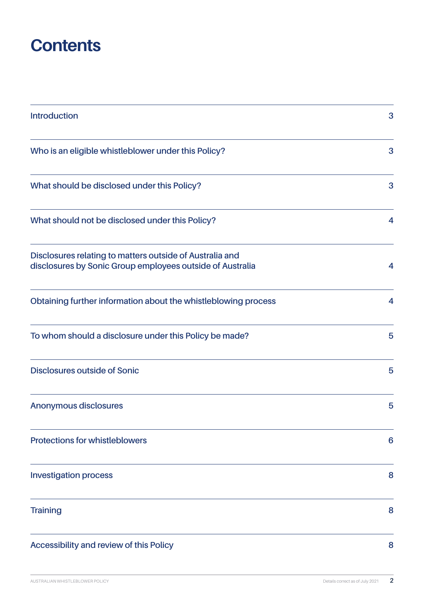## **Contents**

| <b>Introduction</b>                                                                                                   | 3 |
|-----------------------------------------------------------------------------------------------------------------------|---|
| Who is an eligible whistleblower under this Policy?                                                                   | 3 |
| What should be disclosed under this Policy?                                                                           | 3 |
| What should not be disclosed under this Policy?                                                                       | 4 |
| Disclosures relating to matters outside of Australia and<br>disclosures by Sonic Group employees outside of Australia | 4 |
| Obtaining further information about the whistleblowing process                                                        | 4 |
| To whom should a disclosure under this Policy be made?                                                                | 5 |
| <b>Disclosures outside of Sonic</b>                                                                                   | 5 |
| <b>Anonymous disclosures</b>                                                                                          | 5 |
| <b>Protections for whistleblowers</b>                                                                                 | 6 |
| <b>Investigation process</b>                                                                                          | 8 |
| <b>Training</b>                                                                                                       | 8 |
| Accessibility and review of this Policy                                                                               | 8 |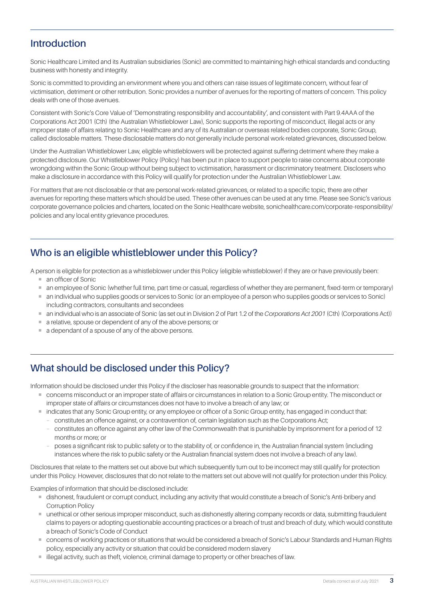#### <span id="page-2-0"></span>**Introduction**

Sonic Healthcare Limited and its Australian subsidiaries (Sonic) are committed to maintaining high ethical standards and conducting business with honesty and integrity.

Sonic is committed to providing an environment where you and others can raise issues of legitimate concern, without fear of victimisation, detriment or other retribution. Sonic provides a number of avenues for the reporting of matters of concern. This policy deals with one of those avenues.

Consistent with Sonic's Core Value of 'Demonstrating responsibility and accountability', and consistent with Part 9.4AAA of the Corporations Act 2001 (Cth) (the Australian Whistleblower Law), Sonic supports the reporting of misconduct, illegal acts or any improper state of affairs relating to Sonic Healthcare and any of its Australian or overseas related bodies corporate, Sonic Group, called disclosable matters. These disclosable matters do not generally include personal work-related grievances, discussed below.

Under the Australian Whistleblower Law, eligible whistleblowers will be protected against suffering detriment where they make a protected disclosure. Our Whistleblower Policy (Policy) has been put in place to support people to raise concerns about corporate wrongdoing within the Sonic Group without being subject to victimisation, harassment or discriminatory treatment. Disclosers who make a disclosure in accordance with this Policy will qualify for protection under the Australian Whistleblower Law.

For matters that are not disclosable or that are personal work-related grievances, or related to a specific topic, there are other avenues for reporting these matters which should be used. These other avenues can be used at any time. Please see Sonic's various corporate governance policies and charters, located on the Sonic Healthcare website, [sonichealthcare.com/corporate-responsibility/](http://sonichealthcare.com/corporate-responsibility/policies) [policies](http://sonichealthcare.com/corporate-responsibility/policies) and any local entity grievance procedures.

## **Who is an eligible whistleblower under this Policy?**

A person is eligible for protection as a whistleblower under this Policy (eligible whistleblower) if they are or have previously been:

- an officer of Sonic
- ¡ an employee of Sonic (whether full time, part time or casual, regardless of whether they are permanent, fixed-term or temporary)
- ¡ an individual who supplies goods or services to Sonic (or an employee of a person who supplies goods or services to Sonic) including contractors, consultants and secondees
- ¡ an individual who is an associate of Sonic (as set out in Division 2 of Part 1.2 of the *Corporations Act 2001* (Cth) (Corporations Act))
- ¡ a relative, spouse or dependent of any of the above persons; or
- $\blacksquare$  a dependant of a spouse of any of the above persons.

## **What should be disclosed under this Policy?**

Information should be disclosed under this Policy if the discloser has reasonable grounds to suspect that the information:

- ¡ concerns misconduct or an improper state of affairs or circumstances in relation to a Sonic Group entity. The misconduct or improper state of affairs or circumstances does not have to involve a breach of any law; or
- ¡ indicates that any Sonic Group entity, or any employee or officer of a Sonic Group entity, has engaged in conduct that: **–** constitutes an offence against, or a contravention of, certain legislation such as the Corporations Act;
	- **–** constitutes an offence against any other law of the Commonwealth that is punishable by imprisonment for a period of 12 months or more; or
	- **–** poses a significant risk to public safety or to the stability of, or confidence in, the Australian financial system (including instances where the risk to public safety or the Australian financial system does not involve a breach of any law).

Disclosures that relate to the matters set out above but which subsequently turn out to be incorrect may still qualify for protection under this Policy. However, disclosures that do not relate to the matters set out above will not qualify for protection under this Policy.

Examples of information that should be disclosed include:

- ¡ dishonest, fraudulent or corrupt conduct, including any activity that would constitute a breach of Sonic's Anti-bribery and Corruption Policy
- ¡ unethical or other serious improper misconduct, such as dishonestly altering company records or data, submitting fraudulent claims to payers or adopting questionable accounting practices or a breach of trust and breach of duty, which would constitute a breach of Sonic's Code of Conduct
- ¡ concerns of working practices or situations that would be considered a breach of Sonic's Labour Standards and Human Rights policy, especially any activity or situation that could be considered modern slavery
- $\blacksquare$  illegal activity, such as theft, violence, criminal damage to property or other breaches of law.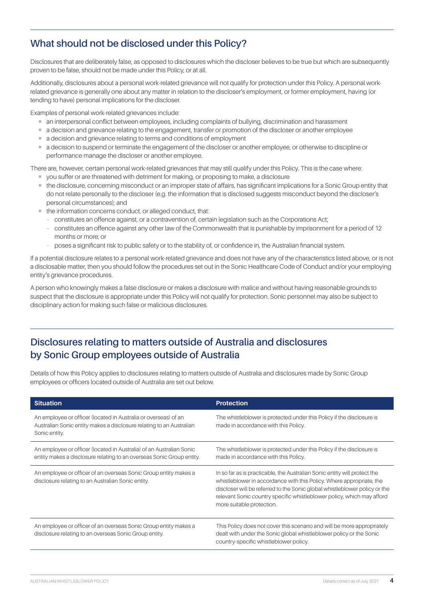## <span id="page-3-0"></span>**What should not be disclosed under this Policy?**

Disclosures that are deliberately false, as opposed to disclosures which the discloser believes to be true but which are subsequently proven to be false, should not be made under this Policy, or at all.

Additionally, disclosures about a personal work-related grievance will not qualify for protection under this Policy. A personal workrelated grievance is generally one about any matter in relation to the discloser's employment, or former employment, having (or tending to have) personal implications for the discloser.

Examples of personal work-related grievances include:

- ¡ an interpersonal conflict between employees, including complaints of bullying, discrimination and harassment
- $\blacksquare$  a decision and grievance relating to the engagement, transfer or promotion of the discloser or another employee
- a decision and grievance relating to terms and conditions of employment
- ¡ a decision to suspend or terminate the engagement of the discloser or another employee, or otherwise to discipline or performance manage the discloser or another employee.

There are, however, certain personal work-related grievances that may still qualify under this Policy. This is the case where:

- ¡ you suffer or are threatened with detriment for making, or proposing to make, a disclosure
- ¡ the disclosure, concerning misconduct or an improper state of affairs, has significant implications for a Sonic Group entity that do not relate personally to the discloser (e.g. the information that is disclosed suggests misconduct beyond the discloser's personal circumstances); and
- ¡ the information concerns conduct, or alleged conduct, that:
	- **–** constitutes an offence against, or a contravention of, certain legislation such as the Corporations Act;
	- **–** constitutes an offence against any other law of the Commonwealth that is punishable by imprisonment for a period of 12 months or more; or
	- **–** poses a significant risk to public safety or to the stability of, or confidence in, the Australian financial system.

If a potential disclosure relates to a personal work-related grievance and does not have any of the characteristics listed above, or is not a disclosable matter, then you should follow the procedures set out in the Sonic Healthcare Code of Conduct and/or your employing entity's grievance procedures.

A person who knowingly makes a false disclosure or makes a disclosure with malice and without having reasonable grounds to suspect that the disclosure is appropriate under this Policy will not qualify for protection. Sonic personnel may also be subject to disciplinary action for making such false or malicious disclosures.

## **Disclosures relating to matters outside of Australia and disclosures by Sonic Group employees outside of Australia**

Details of how this Policy applies to disclosures relating to matters outside of Australia and disclosures made by Sonic Group employees or officers located outside of Australia are set out below.

| <b>Situation</b>                                                                                                                                         | <b>Protection</b>                                                                                                                                                                                                                                                                                                                      |
|----------------------------------------------------------------------------------------------------------------------------------------------------------|----------------------------------------------------------------------------------------------------------------------------------------------------------------------------------------------------------------------------------------------------------------------------------------------------------------------------------------|
| An employee or officer (located in Australia or overseas) of an<br>Australian Sonic entity makes a disclosure relating to an Australian<br>Sonic entity. | The whistleblower is protected under this Policy if the disclosure is<br>made in accordance with this Policy.                                                                                                                                                                                                                          |
| An employee or officer (located in Australia) of an Australian Sonic<br>entity makes a disclosure relating to an overseas Sonic Group entity.            | The whistleblower is protected under this Policy if the disclosure is<br>made in accordance with this Policy.                                                                                                                                                                                                                          |
| An employee or officer of an overseas Sonic Group entity makes a<br>disclosure relating to an Australian Sonic entity.                                   | In so far as is practicable, the Australian Sonic entity will protect the<br>whistleblower in accordance with this Policy. Where appropriate, the<br>discloser will be referred to the Sonic global whistleblower policy or the<br>relevant Sonic country specific whistleblower policy, which may afford<br>more suitable protection. |
| An employee or officer of an overseas Sonic Group entity makes a<br>disclosure relating to an overseas Sonic Group entity.                               | This Policy does not cover this scenario and will be more appropriately<br>dealt with under the Sonic global whistleblower policy or the Sonic<br>country-specific whistleblower policy.                                                                                                                                               |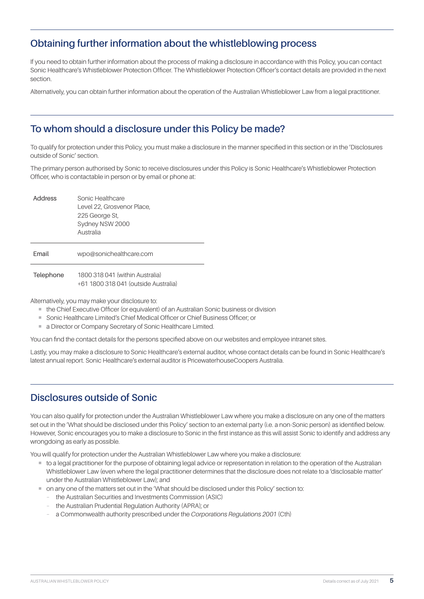#### <span id="page-4-0"></span>**Obtaining further information about the whistleblowing process**

If you need to obtain further information about the process of making a disclosure in accordance with this Policy, you can contact Sonic Healthcare's Whistleblower Protection Officer. The Whistleblower Protection Officer's contact details are provided in the next section.

Alternatively, you can obtain further information about the operation of the Australian Whistleblower Law from a legal practitioner.

### **To whom should a disclosure under this Policy be made?**

To qualify for protection under this Policy, you must make a disclosure in the manner specified in this section or in the 'Disclosures outside of Sonic' section.

The primary person authorised by Sonic to receive disclosures under this Policy is Sonic Healthcare's Whistleblower Protection Officer, who is contactable in person or by email or phone at:

| Address   | Sonic Healthcare<br>Level 22, Grosvenor Place,<br>225 George St,<br>Sydney NSW 2000<br>Australia |
|-----------|--------------------------------------------------------------------------------------------------|
| Fmail     | wpo@sonichealthcare.com                                                                          |
| Telephone | 1800 318 041 (within Australia)<br>+61 1800 318 041 (outside Australia)                          |

Alternatively, you may make your disclosure to:

- the Chief Executive Officer (or equivalent) of an Australian Sonic business or division
- Sonic Healthcare Limited's Chief Medical Officer or Chief Business Officer; or
- a Director or Company Secretary of Sonic Healthcare Limited.

You can find the contact details for the persons specified above on our websites and employee intranet sites.

Lastly, you may make a disclosure to Sonic Healthcare's external auditor, whose contact details can be found in Sonic Healthcare's latest annual report. Sonic Healthcare's external auditor is PricewaterhouseCoopers Australia.

#### **Disclosures outside of Sonic**

You can also qualify for protection under the Australian Whistleblower Law where you make a disclosure on any one of the matters set out in the 'What should be disclosed under this Policy' section to an external party (i.e. a non-Sonic person) as identified below. However, Sonic encourages you to make a disclosure to Sonic in the first instance as this will assist Sonic to identify and address any wrongdoing as early as possible.

You will qualify for protection under the Australian Whistleblower Law where you make a disclosure:

- ¡ to a legal practitioner for the purpose of obtaining legal advice or representation in relation to the operation of the Australian Whistleblower Law (even where the legal practitioner determines that the disclosure does not relate to a 'disclosable matter' under the Australian Whistleblower Law); and
- ¡ on any one of the matters set out in the 'What should be disclosed under this Policy' section to:
	- **–** the Australian Securities and Investments Commission (ASIC)
	- **–** the Australian Prudential Regulation Authority (APRA); or
	- **–** a Commonwealth authority prescribed under the *Corporations Regulations 2001* (Cth)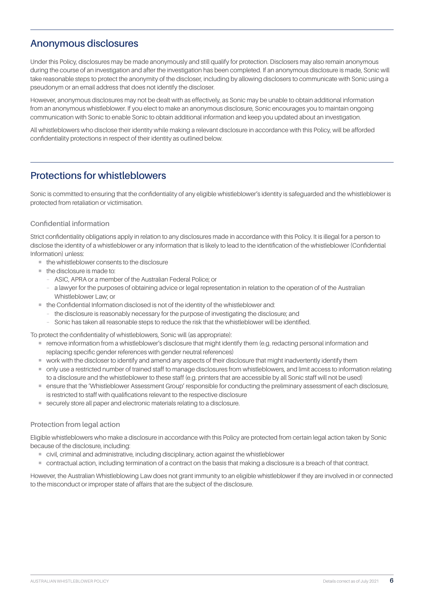#### <span id="page-5-0"></span>**Anonymous disclosures**

Under this Policy, disclosures may be made anonymously and still qualify for protection. Disclosers may also remain anonymous during the course of an investigation and after the investigation has been completed. If an anonymous disclosure is made, Sonic will take reasonable steps to protect the anonymity of the discloser, including by allowing disclosers to communicate with Sonic using a pseudonym or an email address that does not identify the discloser.

However, anonymous disclosures may not be dealt with as effectively, as Sonic may be unable to obtain additional information from an anonymous whistleblower. If you elect to make an anonymous disclosure, Sonic encourages you to maintain ongoing communication with Sonic to enable Sonic to obtain additional information and keep you updated about an investigation.

All whistleblowers who disclose their identity while making a relevant disclosure in accordance with this Policy, will be afforded confidentiality protections in respect of their identity as outlined below.

#### **Protections for whistleblowers**

Sonic is committed to ensuring that the confidentiality of any eligible whistleblower's identity is safeguarded and the whistleblower is protected from retaliation or victimisation.

#### **Confidential information**

Strict confidentiality obligations apply in relation to any disclosures made in accordance with this Policy. It is illegal for a person to disclose the identity of a whistleblower or any information that is likely to lead to the identification of the whistleblower (Confidential Information) unless:

- the whistleblower consents to the disclosure
- $\blacksquare$  the disclosure is made to:
	- **–** ASIC, APRA or a member of the Australian Federal Police; or
	- **–** a lawyer for the purposes of obtaining advice or legal representation in relation to the operation of of the Australian Whistleblower Law; or
- $\blacksquare$  the Confidential Information disclosed is not of the identity of the whistleblower and:
	- **–** the disclosure is reasonably necessary for the purpose of investigating the disclosure; and
	- **–** Sonic has taken all reasonable steps to reduce the risk that the whistleblower will be identified.

To protect the confidentiality of whistleblowers, Sonic will (as appropriate):

- **F** remove information from a whistleblower's disclosure that might identify them (e.g. redacting personal information and replacing specific gender references with gender neutral references)
- ¡ work with the discloser to identify and amend any aspects of their disclosure that might inadvertently identify them
- ¡ only use a restricted number of trained staff to manage disclosures from whistleblowers, and limit access to information relating to a disclosure and the whistleblower to these staff (e.g. printers that are accessible by all Sonic staff will not be used)
- ¡ ensure that the 'Whistleblower Assessment Group' responsible for conducting the preliminary assessment of each disclosure, is restricted to staff with qualifications relevant to the respective disclosure
- securely store all paper and electronic materials relating to a disclosure.

#### **Protection from legal action**

Eligible whistleblowers who make a disclosure in accordance with this Policy are protected from certain legal action taken by Sonic because of the disclosure, including:

- ¡ civil, criminal and administrative, including disciplinary, action against the whistleblower
- ¡ contractual action, including termination of a contract on the basis that making a disclosure is a breach of that contract.

However, the Australian Whistleblowing Law does not grant immunity to an eligible whistleblower if they are involved in or connected to the misconduct or improper state of affairs that are the subject of the disclosure.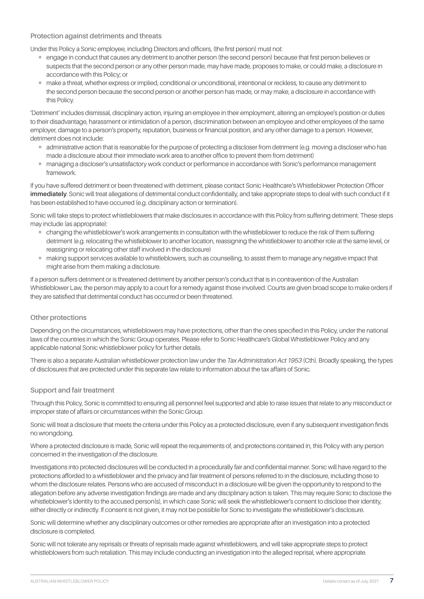#### **Protection against detriments and threats**

Under this Policy a Sonic employee, including Directors and officers, (the first person) must not:

- ¡ engage in conduct that causes any detriment to another person (the second person) because that first person believes or suspects that the second person or any other person made, may have made, proposes to make, or could make, a disclosure in accordance with this Policy; or
- ¡ make a threat, whether express or implied, conditional or unconditional, intentional or reckless, to cause any detriment to the second person because the second person or another person has made, or may make, a disclosure in accordance with this Policy.

'Detriment' includes dismissal, disciplinary action, injuring an employee in their employment, altering an employee's position or duties to their disadvantage, harassment or intimidation of a person, discrimination between an employee and other employees of the same employer, damage to a person's property, reputation, business or financial position, and any other damage to a person. However, detriment does not include:

- ¡ administrative action that is reasonable for the purpose of protecting a discloser from detriment (e.g. moving a discloser who has made a disclosure about their immediate work area to another office to prevent them from detriment)
- managing a discloser's unsatisfactory work conduct or performance in accordance with Sonic's performance management framework.

If you have suffered detriment or been threatened with detriment, please contact Sonic Healthcare's Whistleblower Protection Officer **immediately**. Sonic will treat allegations of detrimental conduct confidentially, and take appropriate steps to deal with such conduct if it has been established to have occurred (e.g. disciplinary action or termination).

Sonic will take steps to protect whistleblowers that make disclosures in accordance with this Policy from suffering detriment. These steps may include (as appropriate):

- ¡ changing the whistleblower's work arrangements in consultation with the whistleblower to reduce the risk of them suffering detriment (e.g. relocating the whistleblower to another location, reassigning the whistleblower to another role at the same level, or reassigning or relocating other staff involved in the disclosure)
- ¡ making support services available to whistleblowers, such as counselling, to assist them to manage any negative impact that might arise from them making a disclosure.

If a person suffers detriment or is threatened detriment by another person's conduct that is in contravention of the Australian Whistleblower Law, the person may apply to a court for a remedy against those involved. Courts are given broad scope to make orders if they are satisfied that detrimental conduct has occurred or been threatened.

#### **Other protections**

Depending on the circumstances, whistleblowers may have protections, other than the ones specified in this Policy, under the national laws of the countries in which the Sonic Group operates. Please refer to Sonic Healthcare's Global Whistleblower Policy and any applicable national Sonic whistleblower policy for further details.

There is also a separate Australian whistleblower protection law under the *Tax Administration Act 1953* (Cth). Broadly speaking, the types of disclosures that are protected under this separate law relate to information about the tax affairs of Sonic.

#### **Support and fair treatment**

Through this Policy, Sonic is committed to ensuring all personnel feel supported and able to raise issues that relate to any misconduct or improper state of affairs or circumstances within the Sonic Group.

Sonic will treat a disclosure that meets the criteria under this Policy as a protected disclosure, even if any subsequent investigation finds no wrongdoing.

Where a protected disclosure is made, Sonic will repeat the requirements of, and protections contained in, this Policy with any person concerned in the investigation of the disclosure.

Investigations into protected disclosures will be conducted in a procedurally fair and confidential manner. Sonic will have regard to the protections afforded to a whistleblower and the privacy and fair treatment of persons referred to in the disclosure, including those to whom the disclosure relates. Persons who are accused of misconduct in a disclosure will be given the opportunity to respond to the allegation before any adverse investigation findings are made and any disciplinary action is taken. This may require Sonic to disclose the whistleblower's identity to the accused person(s), in which case Sonic will seek the whistleblower's consent to disclose their identity, either directly or indirectly. If consent is not given, it may not be possible for Sonic to investigate the whistleblower's disclosure.

Sonic will determine whether any disciplinary outcomes or other remedies are appropriate after an investigation into a protected disclosure is completed.

Sonic will not tolerate any reprisals or threats of reprisals made against whistleblowers, and will take appropriate steps to protect whistleblowers from such retaliation. This may include conducting an investigation into the alleged reprisal, where appropriate.